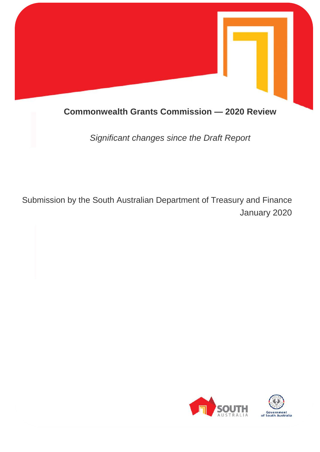

# **Commonwealth Grants Commission — 2020 Review**

*Significant changes since the Draft Report* 

Submission by the South Australian Department of Treasury and Finance January 2020

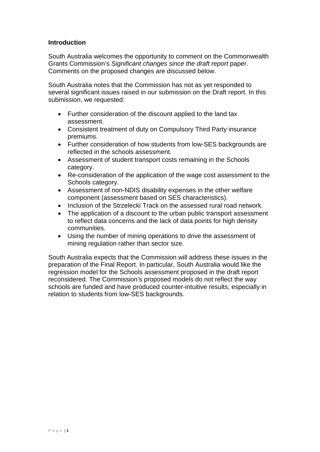# **Introduction**

South Australia welcomes the opportunity to comment on the Commonwealth Grants Commission's *Significant changes since the draft report* paper. Comments on the proposed changes are discussed below.

South Australia notes that the Commission has not as yet responded to several significant issues raised in our submission on the Draft report. In this submission, we requested:

- Further consideration of the discount applied to the land tax assessment.
- Consistent treatment of duty on Compulsory Third Party insurance premiums.
- Further consideration of how students from low-SES backgrounds are reflected in the schools assessment.
- Assessment of student transport costs remaining in the Schools category.
- Re-consideration of the application of the wage cost assessment to the Schools category.
- Assessment of non-NDIS disability expenses in the other welfare component (assessment based on SES characteristics).
- Inclusion of the Strzelecki Track on the assessed rural road network.
- The application of a discount to the urban public transport assessment to reflect data concerns and the lack of data points for high density communities.
- Using the number of mining operations to drive the assessment of mining regulation rather than sector size.

South Australia expects that the Commission will address these issues in the preparation of the Final Report. In particular, South Australia would like the regression model for the Schools assessment proposed in the draft report reconsidered. The Commission's proposed models do not reflect the way schools are funded and have produced counter-intuitive results, especially in relation to students from low-SES backgrounds.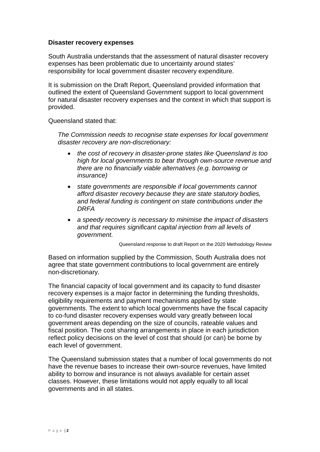### **Disaster recovery expenses**

South Australia understands that the assessment of natural disaster recovery expenses has been problematic due to uncertainty around states' responsibility for local government disaster recovery expenditure.

It is submission on the Draft Report, Queensland provided information that outlined the extent of Queensland Government support to local government for natural disaster recovery expenses and the context in which that support is provided.

Queensland stated that:

*The Commission needs to recognise state expenses for local government disaster recovery are non-discretionary:* 

- *the cost of recovery in disaster-prone states like Queensland is too high for local governments to bear through own-source revenue and there are no financially viable alternatives (e.g. borrowing or insurance)*
- *state governments are responsible if local governments cannot afford disaster recovery because they are state statutory bodies, and federal funding is contingent on state contributions under the DRFA*
- *a speedy recovery is necessary to minimise the impact of disasters and that requires significant capital injection from all levels of government.*

Queensland response to draft Report on the 2020 Methodology Review

Based on information supplied by the Commission, South Australia does not agree that state government contributions to local government are entirely non-discretionary.

The financial capacity of local government and its capacity to fund disaster recovery expenses is a major factor in determining the funding thresholds, eligibility requirements and payment mechanisms applied by state governments. The extent to which local governments have the fiscal capacity to co-fund disaster recovery expenses would vary greatly between local government areas depending on the size of councils, rateable values and fiscal position. The cost sharing arrangements in place in each jurisdiction reflect policy decisions on the level of cost that should (or can) be borne by each level of government.

The Queensland submission states that a number of local governments do not have the revenue bases to increase their own-source revenues, have limited ability to borrow and insurance is not always available for certain asset classes. However, these limitations would not apply equally to all local governments and in all states.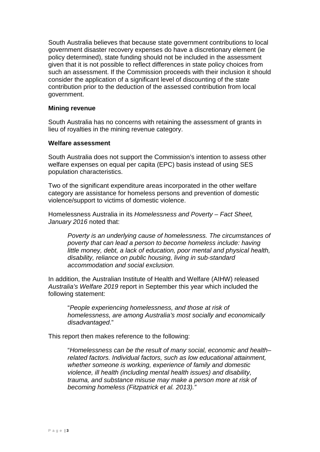South Australia believes that because state government contributions to local government disaster recovery expenses do have a discretionary element (ie policy determined), state funding should not be included in the assessment given that it is not possible to reflect differences in state policy choices from such an assessment. If the Commission proceeds with their inclusion it should consider the application of a significant level of discounting of the state contribution prior to the deduction of the assessed contribution from local government.

#### **Mining revenue**

South Australia has no concerns with retaining the assessment of grants in lieu of royalties in the mining revenue category.

#### **Welfare assessment**

South Australia does not support the Commission's intention to assess other welfare expenses on equal per capita (EPC) basis instead of using SES population characteristics.

Two of the significant expenditure areas incorporated in the other welfare category are assistance for homeless persons and prevention of domestic violence/support to victims of domestic violence.

Homelessness Australia in its *Homelessness and Poverty – Fact Sheet, January 2016* noted that:

*Poverty is an underlying cause of homelessness. The circumstances of poverty that can lead a person to become homeless include: having little money, debt, a lack of education, poor mental and physical health, disability, reliance on public housing, living in sub-standard accommodation and social exclusion.* 

In addition, the Australian Institute of Health and Welfare (AIHW) released *Australia's Welfare 2019* report in September this year which included the following statement:

"*People experiencing homelessness, and those at risk of homelessness, are among Australia's most socially and economically disadvantaged*."

This report then makes reference to the following:

"*Homelessness can be the result of many social, economic and health– related factors. Individual factors, such as low educational attainment, whether someone is working, experience of family and domestic violence, ill health (including mental health issues) and disability, trauma, and substance misuse may make a person more at risk of becoming homeless (Fitzpatrick et al. 2013)."*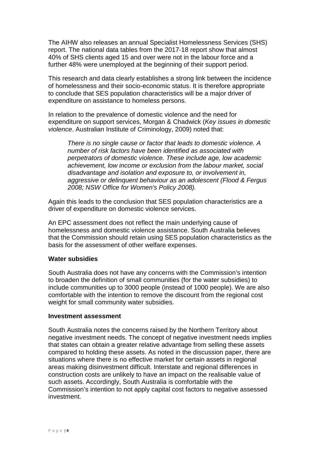The AIHW also releases an annual Specialist Homelessness Services (SHS) report. The national data tables from the 2017-18 report show that almost 40% of SHS clients aged 15 and over were not in the labour force and a further 48% were unemployed at the beginning of their support period.

This research and data clearly establishes a strong link between the incidence of homelessness and their socio-economic status. It is therefore appropriate to conclude that SES population characteristics will be a major driver of expenditure on assistance to homeless persons.

In relation to the prevalence of domestic violence and the need for expenditure on support services, Morgan & Chadwick (*Key issues in domestic violence*. Australian Institute of Criminology, 2009) noted that:

*There is no single cause or factor that leads to domestic violence. A number of risk factors have been identified as associated with perpetrators of domestic violence. These include age, low academic achievement, low income or exclusion from the labour market, social disadvantage and isolation and exposure to, or involvement in, aggressive or delinquent behaviour as an adolescent (Flood & Fergus 2008; NSW Office for Women's Policy 2008).* 

Again this leads to the conclusion that SES population characteristics are a driver of expenditure on domestic violence services.

An EPC assessment does not reflect the main underlying cause of homelessness and domestic violence assistance. South Australia believes that the Commission should retain using SES population characteristics as the basis for the assessment of other welfare expenses.

#### **Water subsidies**

South Australia does not have any concerns with the Commission's intention to broaden the definition of small communities (for the water subsidies) to include communities up to 3000 people (instead of 1000 people). We are also comfortable with the intention to remove the discount from the regional cost weight for small community water subsidies.

#### **Investment assessment**

South Australia notes the concerns raised by the Northern Territory about negative investment needs. The concept of negative investment needs implies that states can obtain a greater relative advantage from selling these assets compared to holding these assets. As noted in the discussion paper, there are situations where there is no effective market for certain assets in regional areas making disinvestment difficult. Interstate and regional differences in construction costs are unlikely to have an impact on the realisable value of such assets. Accordingly, South Australia is comfortable with the Commission's intention to not apply capital cost factors to negative assessed investment.